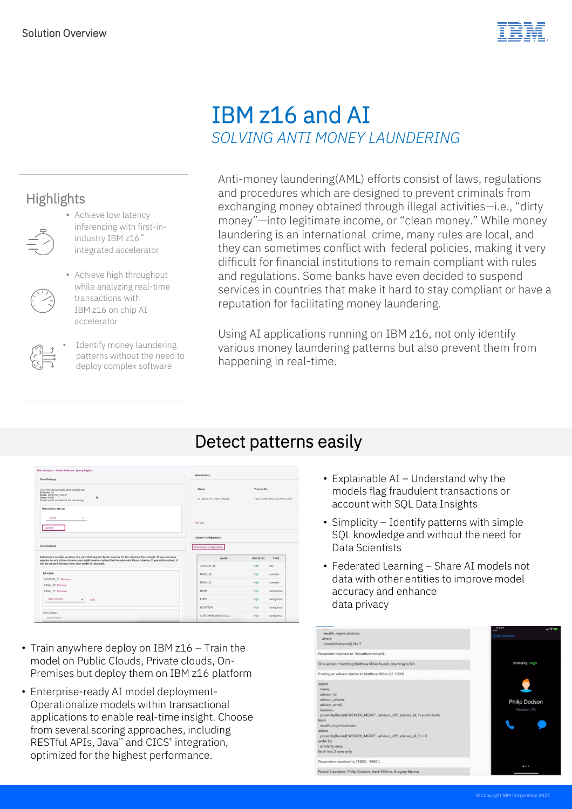

## IBM z16 and AI *SOLVING ANTI MONEY LAUNDERING*

## **Highlights**



- Achieve low latency inferencing with first-inindustry IBM z16 ™ integrated accelerator
- 
- Achieve high throughput while analyzing real-time transactions with IBM z16 on chip AI accelerator
- 
- Identify money laundering patterns without the need to deploy complex software

Anti-money laundering(AML) efforts consist of laws, regulations and procedures which are designed to prevent criminals from exchanging money obtained through illegal activities—i.e., "dirty money"—into legitimate income, or "clean money." While money laundering is an international crime, many rules are local, and they can sometimes conflict with federal policies, making it very difficult for financial institutions to remain compliant with rules and regulations. Some banks have even decided to suspend services in countries that make it hard to stay compliant or have a reputation for facilitating money laundering.

Using AI applications running on IBM z16, not only identify various money laundering patterns but also prevent them from happening in real-time.

## Detect patterns easily

| <b>View Settings</b>                                                                                                                                                                                                                                                                            | <b>View History</b>                                          |                               |             |
|-------------------------------------------------------------------------------------------------------------------------------------------------------------------------------------------------------------------------------------------------------------------------------------------------|--------------------------------------------------------------|-------------------------------|-------------|
| This view has already been configured.<br>Schema: AI                                                                                                                                                                                                                                            | Name                                                         | <b>Trained On</b>             |             |
| Table: WEALTH_MGMT<br>٠<br>View: MAIN<br>Model is not scheduled for retraining.                                                                                                                                                                                                                 | AI_WEALTH_MGMT_MAIN                                          | Tue, 11 Feb 2020 14:29:51 GMT |             |
| <b>Retraining Interval</b><br>Never<br>٠<br>Update                                                                                                                                                                                                                                              | Full Log                                                     |                               |             |
| View Subsets                                                                                                                                                                                                                                                                                    | <b>Column Configuration</b><br><b>Download Configuration</b> |                               |             |
| Subsets are smaller versions of a view that support faster queries for the columns they include. If you run many<br>queries on only a few columns, you might create a subset that incudes only those columns. If you add a subset, it<br>will be created the next time your model is retrained. | <b>NAME</b>                                                  | PRIORITY                      | <b>TYPE</b> |
|                                                                                                                                                                                                                                                                                                 | ADVISOR ID                                                   | High                          | key         |
| id-rank                                                                                                                                                                                                                                                                                         | RANK <sub>18</sub>                                           | High                          | numeric     |
| ADVISOR_ID Remove<br>RANK_18 Remove                                                                                                                                                                                                                                                             | RANK 17                                                      | High                          | numeric     |
| RANK_17 Remove                                                                                                                                                                                                                                                                                  | NAME                                                         | High                          | categorical |
|                                                                                                                                                                                                                                                                                                 | FIRM                                                         | High                          | categorical |
| Add Column<br>Add<br>۰                                                                                                                                                                                                                                                                          |                                                              |                               |             |
|                                                                                                                                                                                                                                                                                                 | LOCATION                                                     | High                          | categorical |

- Train anywhere deploy on IBM z16 Train the model on Public Clouds, Private clouds, On-Premises but deploy them on IBM z16 platform
- Enterprise-ready AI model deployment-Operationalize models within transactional applications to enable real-time insight. Choose from several scoring approaches, including RESTful APIs, Java™ and CICS® integration, optimized for the highest performance.
- Explainable AI Understand why the models flag fraudulent transactions or account with SQL Data Insights
- Simplicity Identify patterns with simple SQL knowledge and without the need for Data Scientists
- Federated Learning Share AI models not data with other entities to improve model accuracy and enhance data privacy